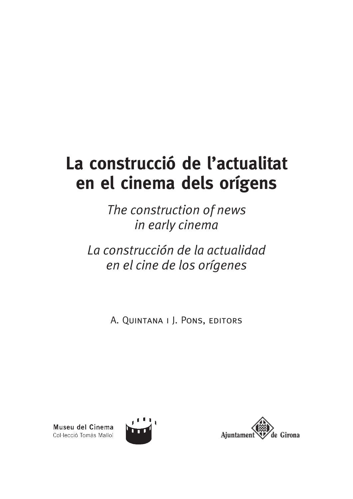# **La construcció de l'actualitat en el cinema dels orígens**

*The construction of news in early cinema*

*La construcción de la actualidad en el cine de los orígenes*

A. Quintana i J. Pons, editors

Museu del Cinema Col·lecció Tomàs Mallol



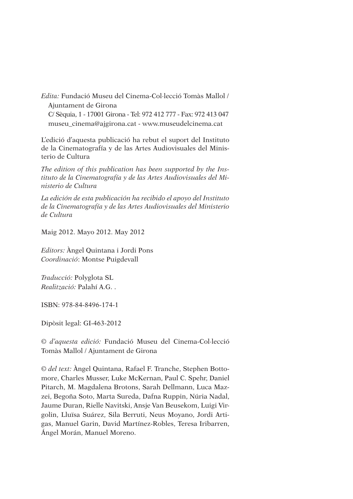*Edita:* Fundació Museu del Cinema-Col·lecció Tomàs Mallol / Ajuntament de Girona C/ Sèquia, 1 - 17001 Girona - Tel: 972 412 777 - Fax: 972 413 047

museu\_cinema@ajgirona.cat - www.museudelcinema.cat

L'edició d'aquesta publicació ha rebut el suport del Instituto de la Cinematografía y de las Artes Audiovisuales del Ministerio de Cultura

*The edition of this publication has been supported by the Instituto de la Cinematografía y de las Artes Audiovisuales del Ministerio de Cultura*

*La edición de esta publicación ha recibido el apoyo del Instituto de la Cinematografía y de las Artes Audiovisuales del Ministerio de Cultura*

Maig 2012. Mayo 2012. May 2012

*Editors:* Àngel Quintana i Jordi Pons *Coordinació*: Montse Puigdevall

*Traducció:* Polyglota SL *Realització:* Palahí A.G. .

ISBN: 978-84-8496-174-1

Dipòsit legal: GI-463-2012

© *d'aquesta edició:* Fundació Museu del Cinema-Col·lecció Tomàs Mallol / Ajuntament de Girona

© *del text:* Àngel Quintana, Rafael F. Tranche, Stephen Bottomore, Charles Musser, Luke McKernan, Paul C. Spehr, Daniel Pitarch, M. Magdalena Brotons, Sarah Dellmann, Luca Mazzei, Begoña Soto, Marta Sureda, Dafna Ruppin, Núria Nadal, Jaume Duran, Rielle Navitski, Ansje Van Beusekom, Luigi Virgolin, Lluïsa Suárez, Sila Berruti, Neus Moyano, Jordi Artigas, Manuel Garin, David Martínez-Robles, Teresa Iribarren, Ángel Morán, Manuel Moreno.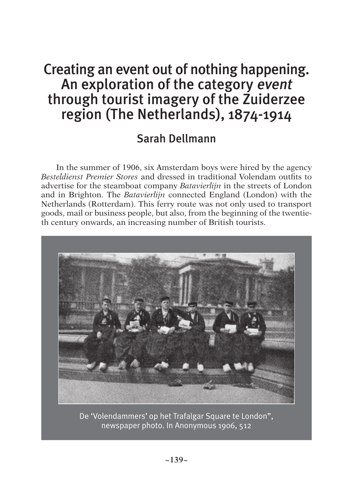## Creating an event out of nothing happening. An exploration of the category event through tourist imagery of the Zuiderzee region (The Netherlands), 1874-1914

### Sarah Dellmann

In the summer of 1906, six Amsterdam boys were hired by the agency *Besteldienst Premier Stores* and dressed in traditional Volendam outfits to advertise for the steamboat company *Batavierlijn* in the streets of London and in Brighton. The *Batavierlijn* connected England (London) with the Netherlands (Rotterdam). This ferry route was not only used to transport goods, mail or business people, but also, from the beginning of the twentieth century onwards, an increasing number of British tourists.



De 'Volendammers' op het Trafalgar Square te London", newspaper photo. In Anonymous 1906, 512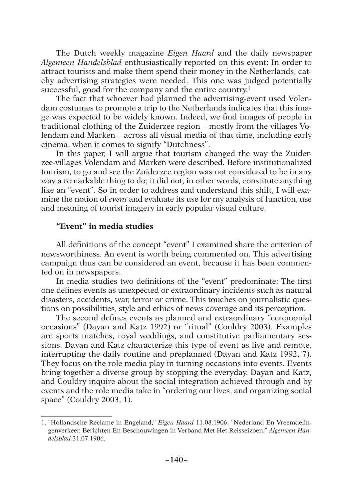The Dutch weekly magazine *Eigen Haard* and the daily newspaper *Algemeen Handelsblad* enthusiastically reported on this event: In order to attract tourists and make them spend their money in the Netherlands, catchy advertising strategies were needed. This one was judged potentially successful, good for the company and the entire country.<sup>1</sup>

The fact that whoever had planned the advertising-event used Volendam costumes to promote a trip to the Netherlands indicates that this image was expected to be widely known. Indeed, we find images of people in traditional clothing of the Zuiderzee region – mostly from the villages Volendam and Marken – across all visual media of that time, including early cinema, when it comes to signify "Dutchness".

In this paper, I will argue that tourism changed the way the Zuiderzee-villages Volendam and Marken were described. Before institutionalized tourism, to go and see the Zuiderzee region was not considered to be in any way a remarkable thing to do; it did not, in other words, constitute anything like an "event". So in order to address and understand this shift, I will examine the notion of *event* and evaluate its use for my analysis of function, use and meaning of tourist imagery in early popular visual culture.

#### **"Event" in media studies**

All definitions of the concept "event" I examined share the criterion of newsworthiness. An event is worth being commented on. This advertising campaign thus can be considered an event, because it has been commented on in newspapers.

In media studies two definitions of the "event" predominate: The first one defines events as unexpected or extraordinary incidents such as natural disasters, accidents, war, terror or crime. This touches on journalistic questions on possibilities, style and ethics of news coverage and its perception.

The second defines events as planned and extraordinary "ceremonial occasions" (Dayan and Katz 1992) or "ritual" (Couldry 2003). Examples are sports matches, royal weddings, and constitutive parliamentary sessions. Dayan and Katz characterize this type of event as live and remote, interrupting the daily routine and preplanned (Dayan and Katz 1992, 7). They focus on the role media play in turning occasions into events. Events bring together a diverse group by stopping the everyday. Dayan and Katz, and Couldry inquire about the social integration achieved through and by events and the role media take in "ordering our lives, and organizing social space" (Couldry 2003, 1).

<sup>1. &</sup>quot;Hollandsche Reclame in Engeland," *Eigen Haard* 11.08.1906. "Nederland En Vreemdelingenverkeer. Berichten En Beschouwingen in Verband Met Het Reisseizoen." *Algemeen Handelsblad* 31.07.1906.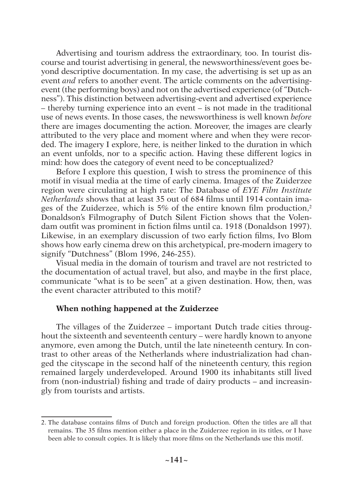Advertising and tourism address the extraordinary, too. In tourist discourse and tourist advertising in general, the newsworthiness/event goes beyond descriptive documentation. In my case, the advertising is set up as an event *and* refers to another event. The article comments on the advertisingevent (the performing boys) and not on the advertised experience (of "Dutchness"). This distinction between advertising-event and advertised experience – thereby turning experience into an event – is not made in the traditional use of news events. In those cases, the newsworthiness is well known *before*  there are images documenting the action. Moreover, the images are clearly attributed to the very place and moment where and when they were recorded. The imagery I explore, here, is neither linked to the duration in which an event unfolds, nor to a specific action. Having these different logics in mind: how does the category of event need to be conceptualized?

Before I explore this question, I wish to stress the prominence of this motif in visual media at the time of early cinema. Images of the Zuiderzee region were circulating at high rate: The Database of *EYE Film Institute Netherlands* shows that at least 35 out of 684 films until 1914 contain images of the Zuiderzee, which is 5% of the entire known film production,<sup>2</sup> Donaldson's Filmography of Dutch Silent Fiction shows that the Volendam outfit was prominent in fiction films until ca. 1918 (Donaldson 1997). Likewise, in an exemplary discussion of two early fiction films, Ivo Blom shows how early cinema drew on this archetypical, pre-modern imagery to signify "Dutchness" (Blom 1996, 246-255).

Visual media in the domain of tourism and travel are not restricted to the documentation of actual travel, but also, and maybe in the first place, communicate "what is to be seen" at a given destination. How, then, was the event character attributed to this motif?

#### **When nothing happened at the Zuiderzee**

The villages of the Zuiderzee – important Dutch trade cities throughout the sixteenth and seventeenth century – were hardly known to anyone anymore, even among the Dutch, until the late nineteenth century. In contrast to other areas of the Netherlands where industrialization had changed the cityscape in the second half of the nineteenth century, this region remained largely underdeveloped. Around 1900 its inhabitants still lived from (non-industrial) fishing and trade of dairy products – and increasingly from tourists and artists.

<sup>2.</sup> The database contains films of Dutch and foreign production. Often the titles are all that remains. The 35 films mention either a place in the Zuiderzee region in its titles, or I have been able to consult copies. It is likely that more films on the Netherlands use this motif.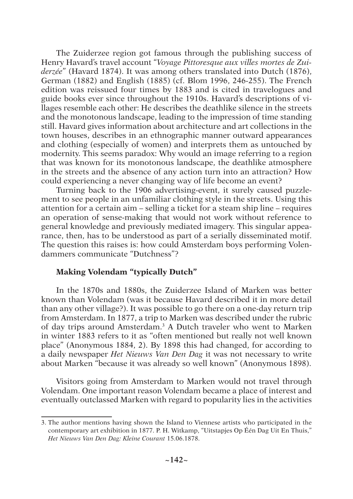The Zuiderzee region got famous through the publishing success of Henry Havard's travel account "*Voyage Pittoresque aux villes mortes de Zuiderzée*" (Havard 1874). It was among others translated into Dutch (1876), German (1882) and English (1885) (cf. Blom 1996, 246-255). The French edition was reissued four times by 1883 and is cited in travelogues and guide books ever since throughout the 1910s. Havard's descriptions of villages resemble each other: He describes the deathlike silence in the streets and the monotonous landscape, leading to the impression of time standing still. Havard gives information about architecture and art collections in the town houses, describes in an ethnographic manner outward appearances and clothing (especially of women) and interprets them as untouched by modernity. This seems paradox: Why would an image referring to a region that was known for its monotonous landscape, the deathlike atmosphere in the streets and the absence of any action turn into an attraction? How could experiencing a never changing way of life become an event?

Turning back to the 1906 advertising-event, it surely caused puzzlement to see people in an unfamiliar clothing style in the streets. Using this attention for a certain aim – selling a ticket for a steam ship line – requires an operation of sense-making that would not work without reference to general knowledge and previously mediated imagery. This singular appearance, then, has to be understood as part of a serially disseminated motif. The question this raises is: how could Amsterdam boys performing Volendammers communicate "Dutchness"?

#### **Making Volendam "typically Dutch"**

In the 1870s and 1880s, the Zuiderzee Island of Marken was better known than Volendam (was it because Havard described it in more detail than any other village?). It was possible to go there on a one-day return trip from Amsterdam. In 1877, a trip to Marken was described under the rubric of day trips around Amsterdam.<sup>3</sup> A Dutch traveler who went to Marken in winter 1883 refers to it as "often mentioned but really not well known place" (Anonymous 1884, 2). By 1898 this had changed, for according to a daily newspaper *Het Nieuws Van Den Dag* it was not necessary to write about Marken "because it was already so well known" (Anonymous 1898).

Visitors going from Amsterdam to Marken would not travel through Volendam. One important reason Volendam became a place of interest and eventually outclassed Marken with regard to popularity lies in the activities

<sup>3.</sup> The author mentions having shown the Island to Viennese artists who participated in the contemporary art exhibition in 1877. P. H. Witkamp, "Uitstapjes Op Één Dag Uit En Thuis," *Het Nieuws Van Den Dag: Kleine Courant* 15.06.1878.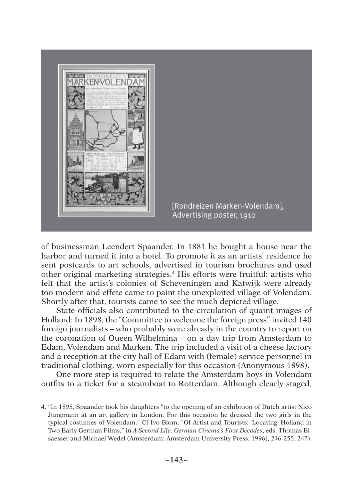

[Rondreizen Marken-Volendam], Advertising poster, 1910

of businessman Leendert Spaander. In 1881 he bought a house near the harbor and turned it into a hotel. To promote it as an artists' residence he sent postcards to art schools, advertised in tourism brochures and used other original marketing strategies.<sup>4</sup> His efforts were fruitful: artists who felt that the artist's colonies of Scheveningen and Katwijk were already too modern and effete came to paint the unexploited village of Volendam. Shortly after that, tourists came to see the much depicted village.

State officials also contributed to the circulation of quaint images of Holland: In 1898, the "Committee to welcome the foreign press" invited 140 foreign journalists – who probably were already in the country to report on the coronation of Queen Wilhelmina – on a day trip from Amsterdam to Edam, Volendam and Marken. The trip included a visit of a cheese factory and a reception at the city hall of Edam with (female) service personnel in traditional clothing, worn especially for this occasion (Anonymous 1898).

One more step is required to relate the Amsterdam boys in Volendam outfits to a ticket for a steamboat to Rotterdam. Although clearly staged,

<sup>4. &</sup>quot;In 1895, Spaander took his daughters "to the opening of an exhibition of Dutch artist Nico Jungmann at an art gallery in London. For this occasion he dressed the two girls in the typical costumes of Volendam." Cf Ivo Blom, "Of Artist and Tourists: 'Locating' Holland in Two Early German Films," in *A Second Life: German Cinema's First Decades*, eds. Thomas Elsaesser and Michael Wedel (Amsterdam: Amsterdam University Press, 1996), 246-255, 247).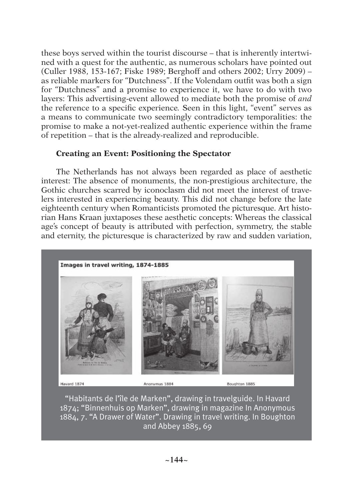these boys served within the tourist discourse – that is inherently intertwined with a quest for the authentic, as numerous scholars have pointed out (Culler 1988, 153-167; Fiske 1989; Berghoff and others 2002; Urry 2009) – as reliable markers for "Dutchness". If the Volendam outfit was both a sign for "Dutchness" and a promise to experience it, we have to do with two layers: This advertising-event allowed to mediate both the promise of *and* the reference to a specific experience*.* Seen in this light, "event" serves as a means to communicate two seemingly contradictory temporalities: the promise to make a not-yet-realized authentic experience within the frame of repetition – that is the already-realized and reproducible.

#### **Creating an Event: Positioning the Spectator**

The Netherlands has not always been regarded as place of aesthetic interest: The absence of monuments, the non-prestigious architecture, the Gothic churches scarred by iconoclasm did not meet the interest of travelers interested in experiencing beauty. This did not change before the late eighteenth century when Romanticists promoted the picturesque. Art historian Hans Kraan juxtaposes these aesthetic concepts: Whereas the classical age's concept of beauty is attributed with perfection, symmetry, the stable and eternity, the picturesque is characterized by raw and sudden variation,



"Habitants de l'île de Marken", drawing in travelguide. In Havard 1874; "Binnenhuis op Marken", drawing in magazine In Anonymous 1884, 7. "A Drawer of Water". Drawing in travel writing. In Boughton and Abbey 1885, 69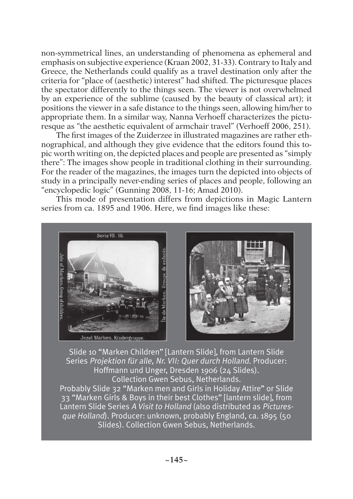non-symmetrical lines, an understanding of phenomena as ephemeral and emphasis on subjective experience (Kraan 2002, 31-33). Contrary to Italy and Greece, the Netherlands could qualify as a travel destination only after the criteria for "place of (aesthetic) interest" had shifted. The picturesque places the spectator differently to the things seen. The viewer is not overwhelmed by an experience of the sublime (caused by the beauty of classical art); it positions the viewer in a safe distance to the things seen, allowing him/her to appropriate them. In a similar way, Nanna Verhoeff characterizes the picturesque as "the aesthetic equivalent of armchair travel" (Verhoeff 2006, 251).

The first images of the Zuiderzee in illustrated magazines are rather ethnographical, and although they give evidence that the editors found this topic worth writing on, the depicted places and people are presented as "simply there": The images show people in traditional clothing in their surrounding. For the reader of the magazines, the images turn the depicted into objects of study in a principally never-ending series of places and people, following an "encyclopedic logic" (Gunning 2008, 11-16; Amad 2010).

This mode of presentation differs from depictions in Magic Lantern series from ca. 1895 and 1906. Here, we find images like these:



Slide 10 "Marken Children" [Lantern Slide], from Lantern Slide Series Projektion für alle, Nr. VII: Quer durch Holland. Producer: Hoffmann und Unger, Dresden 1906 (24 Slides). Collection Gwen Sebus, Netherlands. Probably Slide 32 "Marken men and Girls in Holiday Attire" or Slide 33 "Marken Girls & Boys in their best Clothes" [lantern slide], from Lantern Slide Series A Visit to Holland (also distributed as Picturesque Holland). Producer: unknown, probably England, ca. 1895 (50

Slides). Collection Gwen Sebus, Netherlands.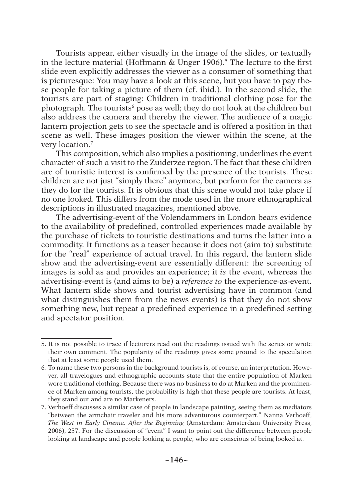Tourists appear, either visually in the image of the slides, or textually in the lecture material (Hoffmann & Unger 1906).<sup>5</sup> The lecture to the first slide even explicitly addresses the viewer as a consumer of something that is picturesque: You may have a look at this scene, but you have to pay these people for taking a picture of them (cf. ibid.). In the second slide, the tourists are part of staging: Children in traditional clothing pose for the photograph. The tourists<sup>6</sup> pose as well; they do not look at the children but also address the camera and thereby the viewer. The audience of a magic lantern projection gets to see the spectacle and is offered a position in that scene as well. These images position the viewer within the scene, at the very location.<sup>7</sup>

This composition, which also implies a positioning, underlines the event character of such a visit to the Zuiderzee region. The fact that these children are of touristic interest is confirmed by the presence of the tourists. These children are not just "simply there" anymore, but perform for the camera as they do for the tourists. It is obvious that this scene would not take place if no one looked. This differs from the mode used in the more ethnographical descriptions in illustrated magazines, mentioned above.

The advertising-event of the Volendammers in London bears evidence to the availability of predefined, controlled experiences made available by the purchase of tickets to touristic destinations and turns the latter into a commodity. It functions as a teaser because it does not (aim to) substitute for the "real" experience of actual travel. In this regard, the lantern slide show and the advertising-event are essentially different: the screening of images is sold as and provides an experience; it *is* the event, whereas the advertising-event is (and aims to be) a *reference to* the experience-as-event. What lantern slide shows and tourist advertising have in common (and what distinguishes them from the news events) is that they do not show something new, but repeat a predefined experience in a predefined setting and spectator position.

<sup>5.</sup> It is not possible to trace if lecturers read out the readings issued with the series or wrote their own comment. The popularity of the readings gives some ground to the speculation that at least some people used them.

<sup>6</sup>*.* To name these two persons in the background tourists is, of course, an interpretation. However, all travelogues and ethnographic accounts state that the entire population of Marken wore traditional clothing. Because there was no business to do at Marken and the prominence of Marken among tourists, the probability is high that these people are tourists. At least, they stand out and are no Markeners.

<sup>7.</sup> Verhoeff discusses a similar case of people in landscape painting, seeing them as mediators "between the armchair traveler and his more adventurous counterpart." Nanna Verhoeff, *The West in Early Cinema. After the Beginning* (Amsterdam: Amsterdam University Press, 2006), 257. For the discussion of "event" I want to point out the difference between people looking at landscape and people looking at people, who are conscious of being looked at.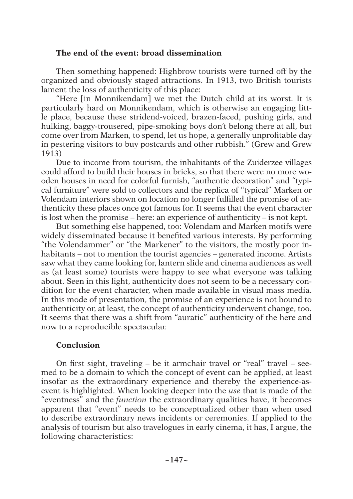#### **The end of the event: broad dissemination**

Then something happened: Highbrow tourists were turned off by the organized and obviously staged attractions. In 1913, two British tourists lament the loss of authenticity of this place:

"Here [in Monnikendam] we met the Dutch child at its worst. It is particularly hard on Monnikendam, which is otherwise an engaging little place, because these stridend-voiced, brazen-faced, pushing girls, and hulking, baggy-trousered, pipe-smoking boys don't belong there at all, but come over from Marken, to spend, let us hope, a generally unprofitable day in pestering visitors to buy postcards and other rubbish." (Grew and Grew 1913)

Due to income from tourism, the inhabitants of the Zuiderzee villages could afford to build their houses in bricks, so that there were no more wooden houses in need for colorful furnish, "authentic decoration" and "typical furniture" were sold to collectors and the replica of "typical" Marken or Volendam interiors shown on location no longer fulfilled the promise of authenticity these places once got famous for. It seems that the event character is lost when the promise – here: an experience of authenticity – is not kept.

But something else happened, too: Volendam and Marken motifs were widely disseminated because it benefited various interests. By performing "the Volendammer" or "the Markener" to the visitors, the mostly poor inhabitants – not to mention the tourist agencies – generated income. Artists saw what they came looking for, lantern slide and cinema audiences as well as (at least some) tourists were happy to see what everyone was talking about. Seen in this light, authenticity does not seem to be a necessary condition for the event character, when made available in visual mass media. In this mode of presentation, the promise of an experience is not bound to authenticity or, at least, the concept of authenticity underwent change, too. It seems that there was a shift from "auratic" authenticity of the here and now to a reproducible spectacular.

#### **Conclusion**

On first sight, traveling – be it armchair travel or "real" travel – seemed to be a domain to which the concept of event can be applied, at least insofar as the extraordinary experience and thereby the experience-asevent is highlighted. When looking deeper into the *use* that is made of the "eventness" and the *function* the extraordinary qualities have, it becomes apparent that "event" needs to be conceptualized other than when used to describe extraordinary news incidents or ceremonies. If applied to the analysis of tourism but also travelogues in early cinema, it has, I argue, the following characteristics: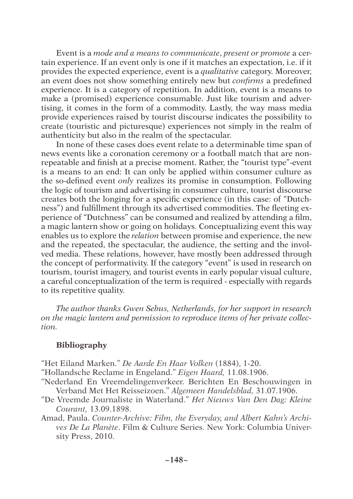Event is a *mode and a means to communicate*, *present or promote* a certain experience. If an event only is one if it matches an expectation, i.e. if it provides the expected experience, event is a *qualitative* category. Moreover, an event does not show something entirely new but *confirms* a predefined experience. It is a category of repetition. In addition, event is a means to make a (promised) experience consumable. Just like tourism and advertising, it comes in the form of a commodity. Lastly, the way mass media provide experiences raised by tourist discourse indicates the possibility to create (touristic and picturesque) experiences not simply in the realm of authenticity but also in the realm of the spectacular.

In none of these cases does event relate to a determinable time span of news events like a coronation ceremony or a football match that are nonrepeatable and finish at a precise moment. Rather, the "tourist type"-event is a means to an end: It can only be applied within consumer culture as the so-defined event *only* realizes its promise in consumption. Following the logic of tourism and advertising in consumer culture, tourist discourse creates both the longing for a specific experience (in this case: of "Dutchness") and fulfillment through its advertised commodities. The fleeting experience of "Dutchness" can be consumed and realized by attending a film, a magic lantern show or going on holidays. Conceptualizing event this way enables us to explore the *relation* between promise and experience, the new and the repeated, the spectacular, the audience, the setting and the involved media. These relations, however, have mostly been addressed through the concept of performativity. If the category "event" is used in research on tourism, tourist imagery, and tourist events in early popular visual culture, a careful conceptualization of the term is required - especially with regards to its repetitive quality.

*The author thanks Gwen Sebus, Netherlands, for her support in research on the magic lantern and permission to reproduce items of her private collection.*

#### **Bibliography**

- "Het Eiland Marken." *De Aarde En Haar Volken* (1884), 1-20.
- "Hollandsche Reclame in Engeland." *Eigen Haard,* 11.08.1906.
- "Nederland En Vreemdelingenverkeer. Berichten En Beschouwingen in Verband Met Het Reisseizoen." *Algemeen Handelsblad,* 31.07.1906.
- "De Vreemde Journaliste in Waterland." *Het Nieuws Van Den Dag: Kleine Courant,* 13.09.1898.
- Amad, Paula. *Counter-Archive: Film, the Everyday, and Albert Kahn's Archives De La Planète*. Film & Culture Series. New York: Columbia University Press, 2010.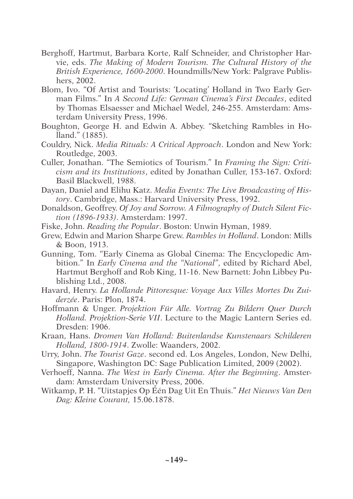- Berghoff, Hartmut, Barbara Korte, Ralf Schneider, and Christopher Harvie, eds. *The Making of Modern Tourism. The Cultural History of the British Experience, 1600-2000*. Houndmills/New York: Palgrave Publishers, 2002.
- Blom, Ivo. "Of Artist and Tourists: 'Locating' Holland in Two Early German Films." In *A Second Life: German Cinema's First Decades*, edited by Thomas Elsaesser and Michael Wedel, 246-255. Amsterdam: Amsterdam University Press, 1996.
- Boughton, George H. and Edwin A. Abbey. "Sketching Rambles in Holland." (1885).
- Couldry, Nick. *Media Rituals: A Critical Approach*. London and New York: Routledge, 2003.
- Culler, Jonathan. "The Semiotics of Tourism." In *Framing the Sign: Criticism and its Institutions*, edited by Jonathan Culler, 153-167. Oxford: Basil Blackwell, 1988.
- Dayan, Daniel and Elihu Katz. *Media Events: The Live Broadcasting of History*. Cambridge, Mass.: Harvard University Press, 1992.
- Donaldson, Geoffrey. *Of Joy and Sorrow. A Filmography of Dutch Silent Fiction (1896-1933)*. Amsterdam: 1997.
- Fiske, John. *Reading the Popular*. Boston: Unwin Hyman, 1989.
- Grew, Edwin and Marion Sharpe Grew. *Rambles in Holland*. London: Mills & Boon, 1913.
- Gunning, Tom. "Early Cinema as Global Cinema: The Encyclopedic Ambition." In *Early Cinema and the "National"*, edited by Richard Abel, Hartmut Berghoff and Rob King, 11-16. New Barnett: John Libbey Publishing Ltd., 2008.
- Havard, Henry. *La Hollande Pittoresque: Voyage Aux Villes Mortes Du Zuiderzée*. Paris: Plon, 1874.
- Hoffmann & Unger. *Projektion Für Alle. Vortrag Zu Bildern Quer Durch Holland. Projektion-Serie VII*. Lecture to the Magic Lantern Series ed. Dresden: 1906.
- Kraan, Hans. *Dromen Van Holland: Buitenlandse Kunstenaars Schilderen Holland, 1800-1914*. Zwolle: Waanders, 2002.
- Urry, John. *The Tourist Gaze*. second ed. Los Angeles, London, New Delhi, Singapore, Washington DC: Sage Publication Limited, 2009 (2002).
- Verhoeff, Nanna. *The West in Early Cinema. After the Beginning*. Amsterdam: Amsterdam University Press, 2006.
- Witkamp, P. H. "Uitstapjes Op Één Dag Uit En Thuis." *Het Nieuws Van Den Dag: Kleine Courant,* 15.06.1878.